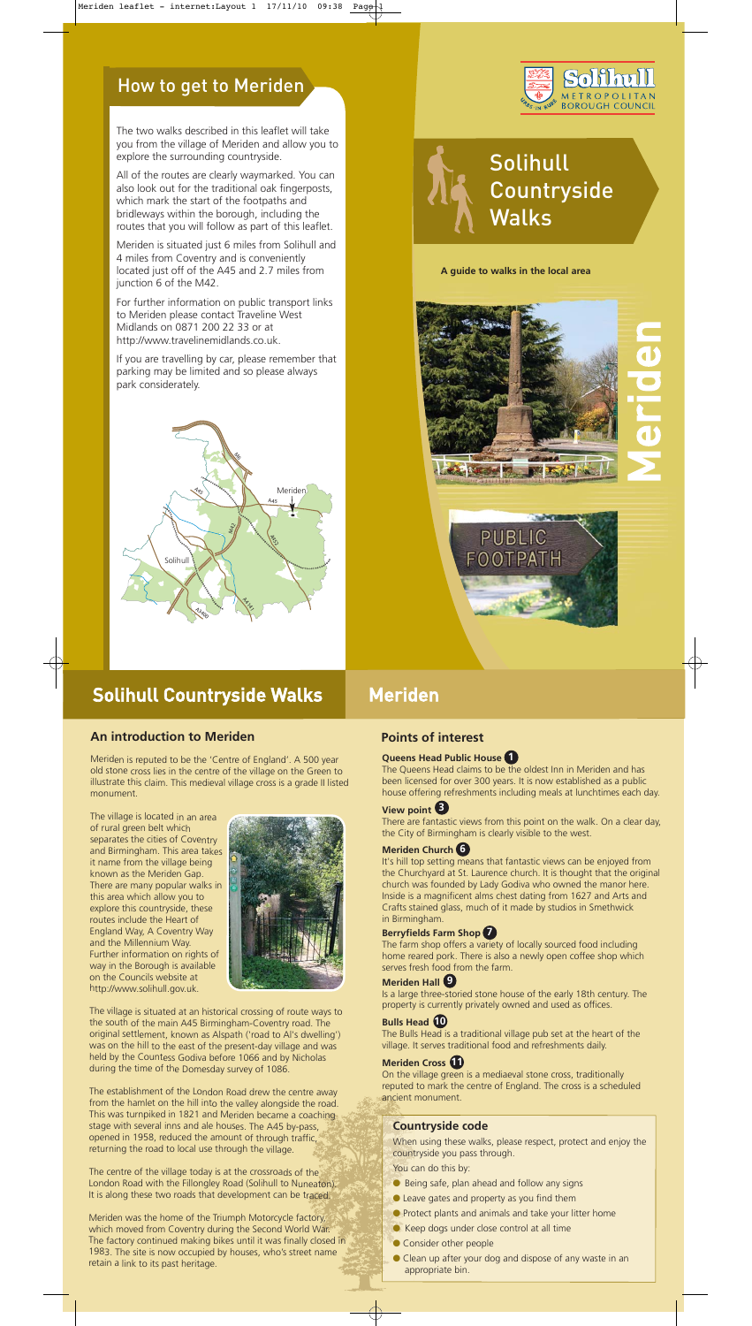### How to get to Meriden

The two walks described in this leaflet will take you from the village of Meriden and allow you to explore the surrounding countryside.

All of the routes are clearly waymarked. You can also look out for the traditional oak fingerposts, which mark the start of the footpaths and bridleways within the borough, including the routes that you will follow as part of this leaflet.

Meriden is situated just 6 miles from Solihull and 4 miles from Coventry and is conveniently located just off of the A45 and 2.7 miles from junction 6 of the M42.

For further information on public transport links to Meriden please contact Traveline West Midlands on 0871 200 22 33 or at http://www.travelinemidlands.co.uk.

If you are travelling by car, please remember that parking may be limited and so please always park considerately.



## Solihull Countryside Walks Meriden

#### **An introduction to Meriden**

Meriden is reputed to be the 'Centre of England'. A 500 year old stone cross lies in the centre of the village on the Green to illustrate this claim. This medieval village cross is a grade II listed monument.

The village is located in an area of rural green belt which separates the cities of Coventry and Birmingham. This area takes it name from the village being known as the Meriden Gap. There are many popular walks in this area which allow you to explore this countryside, these routes include the Heart of England Way, A Coventry Way and the Millennium Way. Further information on rights of way in the Borough is available on the Councils website at





http://www.solihull.gov.uk.

The village is situated at an historical crossing of route ways to the south of the main A45 Birmingham-Coventry road. The original settlement, known as Alspath ('road to Al's dwelling') was on the hill to the east of the present-day village and was held by the Countess Godiva before 1066 and by Nicholas during the time of the Domesday survey of 1086.

The establishment of the London Road drew the centre away from the hamlet on the hill into the valley alongside the road. This was turnpiked in 1821 and Meriden became a coaching stage with several inns and ale houses. The A45 by-pass, opened in 1958, reduced the amount of through traffic, returning the road to local use through the village.

- Being safe, plan ahead and follow any signs
- Leave gates and property as you find them
- Protect plants and animals and take your litter home
- Keep dogs under close control at all time
- Consider other people
- Clean up after your dog and dispose of any waste in an appropriate bin.

The centre of the village today is at the crossroads of the London Road with the Fillongley Road (Solihull to Nuneaton). It is along these two roads that development can be traced.

Meriden was the home of the Triumph Motorcycle factory, which moved from Coventry during the Second World War. The factory continued making bikes until it was finally closed in 1983. The site is now occupied by houses, who's street name retain a link to its past heritage.

The Queens Head claims to be the oldest Inn in Meriden and has been licensed for over 300 years. It is now established as a public house offering refreshments including meals at lunchtimes each day.

There are fantastic views from this point on the walk. On a clear day, the City of Birmingham is clearly visible to the west.

It's hill top setting means that fantastic views can be enjoyed from the Churchyard at St. Laurence church. It is thought that the original church was founded by Lady Godiva who owned the manor here. Inside is a magnificent alms chest dating from 1627 and Arts and Crafts stained glass, much of it made by studios in Smethwick in Birmingham.

#### **Queens Head Public House 1**

#### **View point 3**

The farm shop offers a variety of locally sourced food including home reared pork. There is also a newly open coffee shop which serves fresh food from the farm.

#### **Meriden Church 6**

Is a large three-storied stone house of the early 18th century. The property is currently privately owned and used as offices.

#### **Berryfields Farm Shop 7**

The Bulls Head is a traditional village pub set at the heart of the village. It serves traditional food and refreshments daily.

#### **Meriden Hall 9**

#### **Bulls Head 10**

On the village green is a mediaeval stone cross, traditionally reputed to mark the centre of England. The cross is a scheduled ancient monument.

#### **Meriden Cross 11**

### **Points of interest**

#### **Countryside code**

When using these walks, please respect, protect and enjoy the countryside you pass through.

You can do this by:



**A guide to walks in the local area**



# Solihull **Countryside** Walks